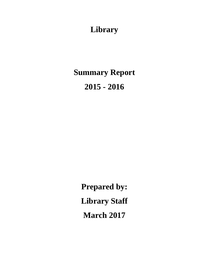# **Library**

**Summary Report 2015 - 2016**

> **Prepared by: Library Staff March 2017**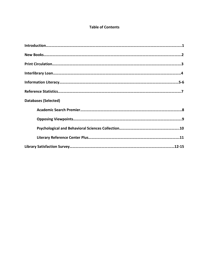### **Table of Contents**

| <b>Databases (Selected)</b> |
|-----------------------------|
|                             |
|                             |
|                             |
|                             |
|                             |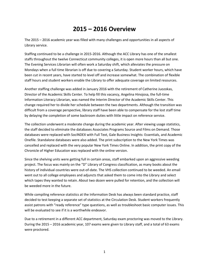### **2015 – 2016 Overview**

The 2015 – 2016 academic year was filled with many challenges and opportunities in all aspects of Library service.

Staffing continued to be a challenge in 2015-2016. Although the ACC Library has one of the smallest staffs throughout the twelve Connecticut community colleges, it is open more hours than all but one. The Evening Services Librarian will often work a Saturday shift, which alleviates the pressure on Mondays when a full time librarian is off due to covering a Saturday. Student worker hours, which have been cut in recent years, have started to level off and increase somewhat. The combination of flexible staff hours and student workers enable the Library to offer adequate coverage on limited resources.

Another staffing challenge was added in January 2016 with the retirement of Catherine Juozokas, Director of the Academic Skills Center. To help fill this vacancy, Angelina Hinojosa, the full-time Information Literacy Librarian, was named the Interim Director of the Academic Skills Center. This change required her to divide her schedule between the two departments. Although the transition was difficult from a coverage perspective, library staff have been able to compensate for the lost staff time by delaying the completion of some backroom duties with little impact on reference service.

The collection underwent a moderate change during the academic year. After viewing usage statistics, the staff decided to eliminate the databases Associates Programs Source and Films on Demand. Those databases were replaced with SocINDEX with Full Text, Gale Business Insights: Essentials, and Academic Onefile. Standalone databases were also added. The print subscription to the New York Times was cancelled and replaced with the very popular New York Times Online. In addition, the print copy of the Chronicle of Higher Education was replaced with the online version.

Since the shelving units were getting full in certain areas, staff embarked upon an aggressive weeding project. The focus was mainly on the "D" Library of Congress classification, as many books about the history of individual countries were out-of-date. The VHS collection continued to be weeded. An email went out to all college employees and adjuncts that asked them to come into the Library and select which tapes they wanted to retain. About two dozen were pulled for retention, and the collection will be weeded more in the future.

While compiling reference statistics at the Information Desk has always been standard practice, staff decided to test keeping a separate set of statistics at the Circulation Desk. Student workers frequently assist patrons with "ready reference" type questions, as well as troubleshoot basic computer issues. This will be evaluated to see if it is a worthwhile endeavor.

Due to a retirement in a different ACC department, Saturday exam proctoring was moved to the Library. During the 2015 – 2016 academic year, 107 exams were given to Library staff, and a total of 63 exams were proctored.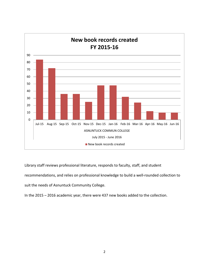

Library staff reviews professional literature, responds to faculty, staff, and student

recommendations, and relies on professional knowledge to build a well-rounded collection to

suit the needs of Asnuntuck Community College.

In the 2015 – 2016 academic year, there were 437 new books added to the collection.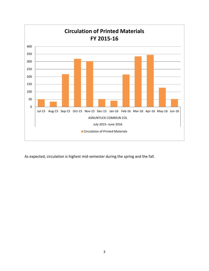

As expected, circulation is highest mid-semester during the spring and the fall.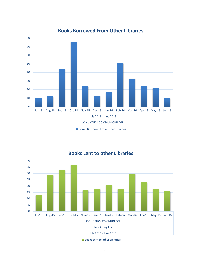

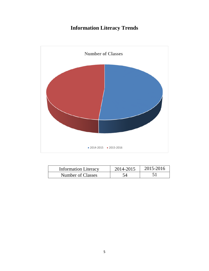### **Information Literacy Trends**



| <b>Information Literacy</b> | 2014-2015 | 2015-2016 |
|-----------------------------|-----------|-----------|
| Number of Classes           |           |           |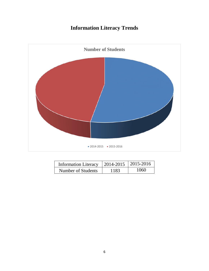## **Information Literacy Trends**



| Information Literacy $\vert$ 2014-2015 $\vert$ 2015-2016 |       |      |
|----------------------------------------------------------|-------|------|
| Number of Students                                       | -1.92 | 1060 |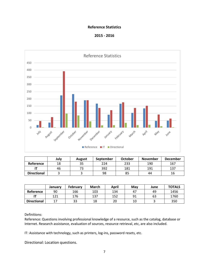#### **Reference Statistics**





|                    | July | August | September | <b>October</b> | <b>November</b> | <b>December</b> |
|--------------------|------|--------|-----------|----------------|-----------------|-----------------|
| <b>Reference</b>   | 18   | 35     | 224       | 233            | 190             | 167             |
|                    | 46   |        | 392       | 181            | 191             | 137             |
| <b>Directional</b> |      |        | 98        | 85             | 44              | 16              |

|                          | January | February | <b>March</b> | April | May | June | <b>TOTALS</b> |
|--------------------------|---------|----------|--------------|-------|-----|------|---------------|
| Reference                | 90      | 166      | 103          | 134   | 47  | 49   | 1456          |
| $\overline{\phantom{a}}$ | 121     | 176      | 137          | 152   | 91  | 63   | 1760          |
| <b>Directional</b>       | 17      | 33       | 18           | 20    | 10  |      | 350           |

Definitions:

Reference: Questions involving professional knowledge of a resource, such as the catalog, database or Internet. Research assistance, evaluation of sources, resource retrieval, etc, are also included.

IT: Assistance with technology, such as printers, log-ins, password resets, etc.

Directional: Location questions.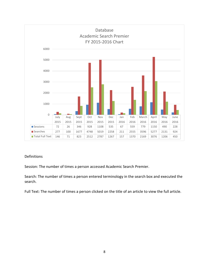

Session: The number of times a person accessed Academic Search Premier.

Search: The number of times a person entered terminology in the search box and executed the search.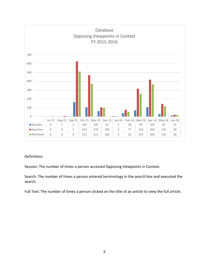

Session: The number of times a person accessed Opposing Viewpoints in Context.

Search: The number of times a person entered terminology in the search box and executed the search.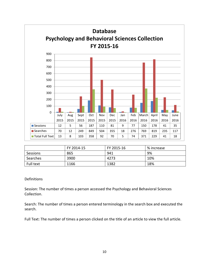

|           | FY 2014-15 | FY 2015-16 | % increase |
|-----------|------------|------------|------------|
| Sessions  | 865        | 941        | 9%         |
| Searches  | 3900       | 4273       | 10%        |
| Full text | 1166       | 1382       | 18%        |

Session: The number of times a person accessed the Psychology and Behavioral Sciences Collection.

Search: The number of times a person entered terminology in the search box and executed the search.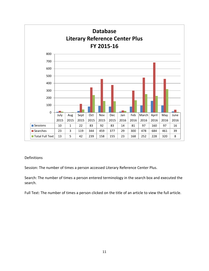

Session: The number of times a person accessed Literary Reference Center Plus.

Search: The number of times a person entered terminology in the search box and executed the search.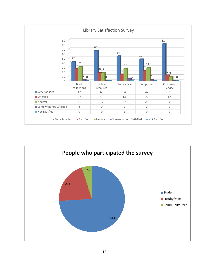

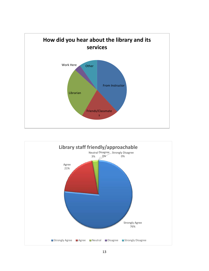

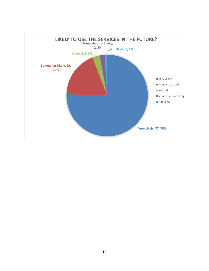